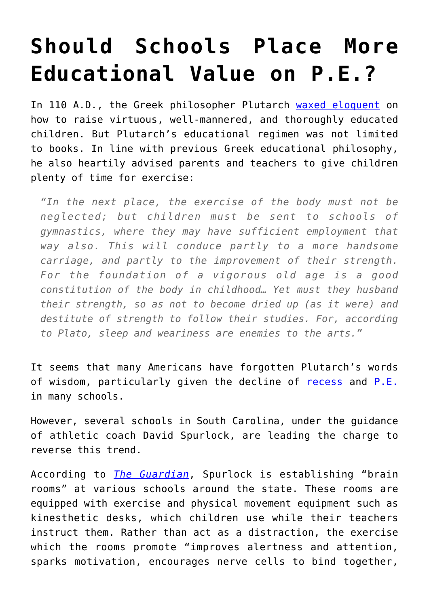## **[Should Schools Place More](https://intellectualtakeout.org/2015/11/should-schools-place-more-educational-value-on-p-e/) [Educational Value on P.E.?](https://intellectualtakeout.org/2015/11/should-schools-place-more-educational-value-on-p-e/)**

In 110 A.D., the Greek philosopher Plutarch [waxed eloquent](http://legacy.fordham.edu/halsall/ancient/plutarch-education.asp) on how to raise virtuous, well-mannered, and thoroughly educated children. But Plutarch's educational regimen was not limited to books. In line with previous Greek educational philosophy, he also heartily advised parents and teachers to give children plenty of time for exercise:

*"In the next place, the exercise of the body must not be neglected; but children must be sent to schools of gymnastics, where they may have sufficient employment that way also. This will conduce partly to a more handsome carriage, and partly to the improvement of their strength. For the foundation of a vigorous old age is a good constitution of the body in childhood… Yet must they husband their strength, so as not to become dried up (as it were) and destitute of strength to follow their studies. For, according to Plato, sleep and weariness are enemies to the arts."*

It seems that many Americans have forgotten Plutarch's words of wisdom, particularly given the decline of [recess](http://www.better-ed.org/blog/recess-gap) and [P.E.](https://www.intellectualtakeout.org/blog/why-are-schools-cutting-back-pe) in many schools.

However, several schools in South Carolina, under the guidance of athletic coach David Spurlock, are leading the charge to reverse this trend.

According to *[The Guardian](http://www.theguardian.com/education/2015/nov/21/schools-education-teaching-exercise-better-learners)*, Spurlock is establishing "brain rooms" at various schools around the state. These rooms are equipped with exercise and physical movement equipment such as kinesthetic desks, which children use while their teachers instruct them. Rather than act as a distraction, the exercise which the rooms promote "improves alertness and attention, sparks motivation, encourages nerve cells to bind together,